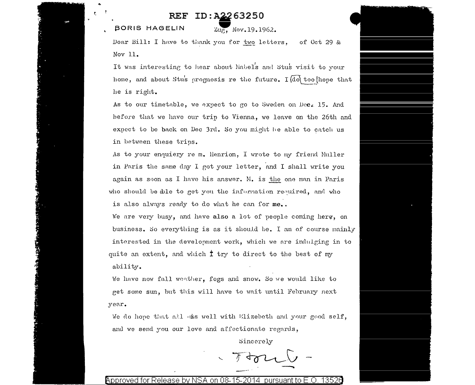## ID: A2263250 REF

**BORIS HAGELIN** 

Zug, Nov. 19.1962.

Dear Bill: I have to thank you for two letters, of Oct 29 & Nov 11.

It was interesting to hear about Nabel's and Stus visit to your home, and about Stus prognosis re the future. I do too hope that he is right.

As to our timetable, we expect to go to Sweden on Dec. 15. And before that we have our trip to Vienna, we leave on the 26th and expect to be back on Dec 3rd. So you might be able to catch us in between these trips.

As to your enquiery re m. llenrion, I wrote to my friend Muller in Paris the same day I got your letter, and I shall write you again as soon as I have his answer. M. is the one man in Paris who should be able to get you the information required, and who is also always ready to do what he can for me..

We are very busy, and have also a lot of people coming here, on business. So everything is as it should be. I am of course mainly interested in the development work, which we are indulging in to quite an extent, and which  $\ddagger$  try to direct to the best of my ability.

We have now fall weather, fogs and snow. So we would like to get some sun, but this will have to wait until February next year.

We do hope that all uss well with Elizebeth and your good self, and we send you our love and affectionate regards,

Sincerely

Approved for Release by NSA on 08-15-2014 pursuant to E.O. 13526